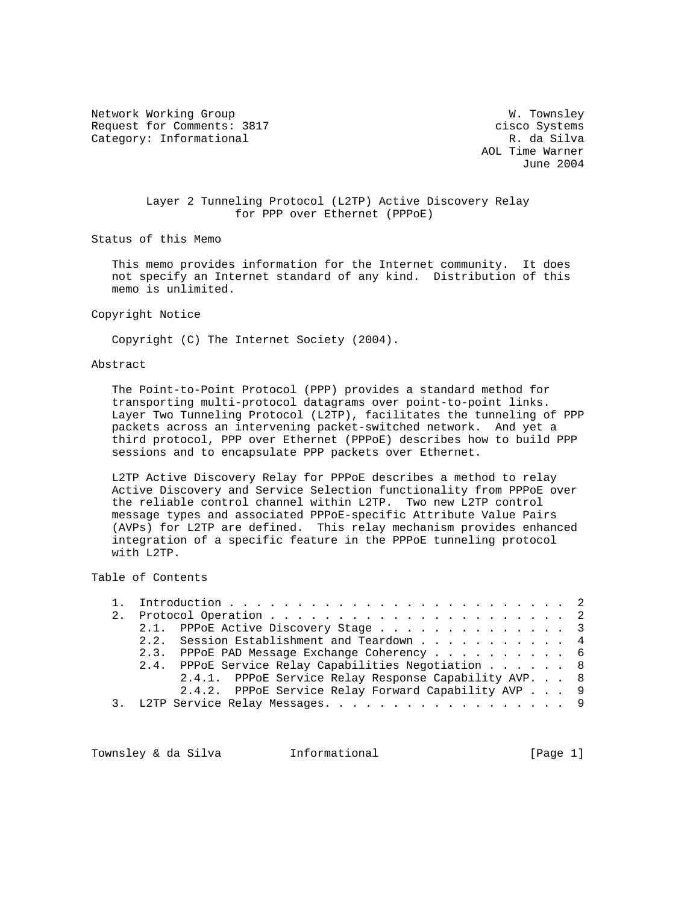Network Working Group W. Townsley Request for Comments: 3817 cisco Systems Category: Informational R. da Silva

 AOL Time Warner June 2004

# Layer 2 Tunneling Protocol (L2TP) Active Discovery Relay for PPP over Ethernet (PPPoE)

Status of this Memo

 This memo provides information for the Internet community. It does not specify an Internet standard of any kind. Distribution of this memo is unlimited.

## Copyright Notice

Copyright (C) The Internet Society (2004).

### Abstract

 The Point-to-Point Protocol (PPP) provides a standard method for transporting multi-protocol datagrams over point-to-point links. Layer Two Tunneling Protocol (L2TP), facilitates the tunneling of PPP packets across an intervening packet-switched network. And yet a third protocol, PPP over Ethernet (PPPoE) describes how to build PPP sessions and to encapsulate PPP packets over Ethernet.

 L2TP Active Discovery Relay for PPPoE describes a method to relay Active Discovery and Service Selection functionality from PPPoE over the reliable control channel within L2TP. Two new L2TP control message types and associated PPPoE-specific Attribute Value Pairs (AVPs) for L2TP are defined. This relay mechanism provides enhanced integration of a specific feature in the PPPoE tunneling protocol with L2TP.

# Table of Contents

|  |                                   | 2.1. PPPOE Active Discovery Stage 3                   |  |  |  |  |  |  |  |  |  |
|--|-----------------------------------|-------------------------------------------------------|--|--|--|--|--|--|--|--|--|
|  |                                   | 2.2. Session Establishment and Teardown 4             |  |  |  |  |  |  |  |  |  |
|  |                                   | 2.3. PPPOE PAD Message Exchange Coherency 6           |  |  |  |  |  |  |  |  |  |
|  |                                   | 2.4. PPPOE Service Relay Capabilities Negotiation 8   |  |  |  |  |  |  |  |  |  |
|  |                                   | 2.4.1. PPPOE Service Relay Response Capability AVP. 8 |  |  |  |  |  |  |  |  |  |
|  |                                   | 2.4.2. PPPoE Service Relay Forward Capability AVP 9   |  |  |  |  |  |  |  |  |  |
|  | 3. L2TP Service Relay Messages. 9 |                                                       |  |  |  |  |  |  |  |  |  |
|  |                                   |                                                       |  |  |  |  |  |  |  |  |  |

Townsley & da Silva informational (Page 1)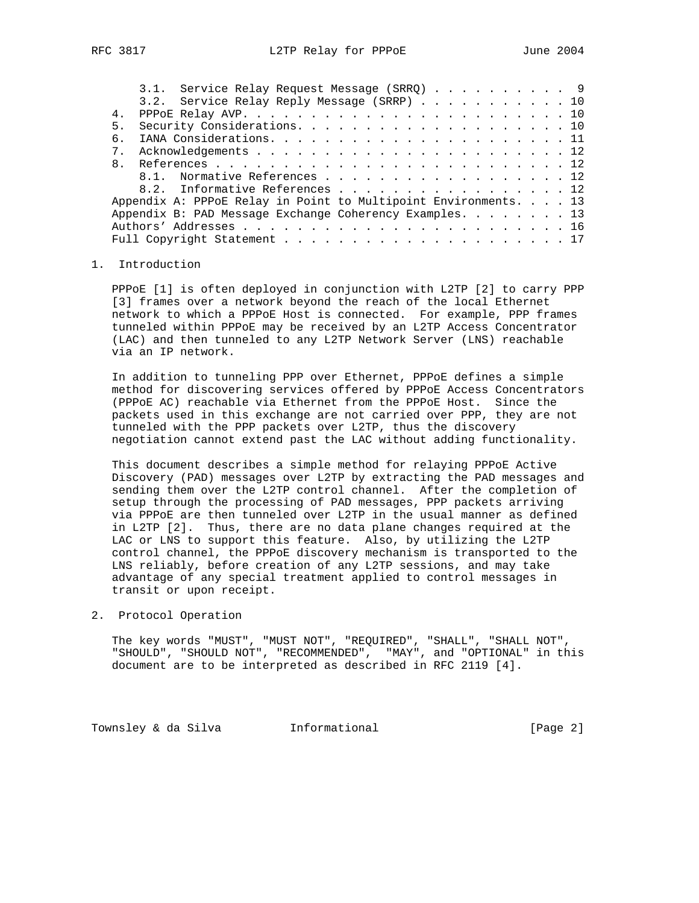|                | 3.1. Service Relay Request Message (SRRQ) 9                     |  |  |  |  |  |  |  |  |  |  |  |  |
|----------------|-----------------------------------------------------------------|--|--|--|--|--|--|--|--|--|--|--|--|
|                | 3.2. Service Relay Reply Message (SRRP) 10                      |  |  |  |  |  |  |  |  |  |  |  |  |
| 4.             |                                                                 |  |  |  |  |  |  |  |  |  |  |  |  |
| 5.             |                                                                 |  |  |  |  |  |  |  |  |  |  |  |  |
| б.             |                                                                 |  |  |  |  |  |  |  |  |  |  |  |  |
| 7 <sub>1</sub> |                                                                 |  |  |  |  |  |  |  |  |  |  |  |  |
| $\mathsf{R}$   |                                                                 |  |  |  |  |  |  |  |  |  |  |  |  |
|                | 8.1. Normative References 12                                    |  |  |  |  |  |  |  |  |  |  |  |  |
|                | 8.2. Informative References 12                                  |  |  |  |  |  |  |  |  |  |  |  |  |
|                | Appendix A: PPPoE Relay in Point to Multipoint Environments. 13 |  |  |  |  |  |  |  |  |  |  |  |  |
|                | Appendix B: PAD Message Exchange Coherency Examples. 13         |  |  |  |  |  |  |  |  |  |  |  |  |
|                |                                                                 |  |  |  |  |  |  |  |  |  |  |  |  |
|                |                                                                 |  |  |  |  |  |  |  |  |  |  |  |  |
|                |                                                                 |  |  |  |  |  |  |  |  |  |  |  |  |

### 1. Introduction

 PPPoE [1] is often deployed in conjunction with L2TP [2] to carry PPP [3] frames over a network beyond the reach of the local Ethernet network to which a PPPoE Host is connected. For example, PPP frames tunneled within PPPoE may be received by an L2TP Access Concentrator (LAC) and then tunneled to any L2TP Network Server (LNS) reachable via an IP network.

 In addition to tunneling PPP over Ethernet, PPPoE defines a simple method for discovering services offered by PPPoE Access Concentrators (PPPoE AC) reachable via Ethernet from the PPPoE Host. Since the packets used in this exchange are not carried over PPP, they are not tunneled with the PPP packets over L2TP, thus the discovery negotiation cannot extend past the LAC without adding functionality.

 This document describes a simple method for relaying PPPoE Active Discovery (PAD) messages over L2TP by extracting the PAD messages and sending them over the L2TP control channel. After the completion of setup through the processing of PAD messages, PPP packets arriving via PPPoE are then tunneled over L2TP in the usual manner as defined in L2TP [2]. Thus, there are no data plane changes required at the LAC or LNS to support this feature. Also, by utilizing the L2TP control channel, the PPPoE discovery mechanism is transported to the LNS reliably, before creation of any L2TP sessions, and may take advantage of any special treatment applied to control messages in transit or upon receipt.

### 2. Protocol Operation

 The key words "MUST", "MUST NOT", "REQUIRED", "SHALL", "SHALL NOT", "SHOULD", "SHOULD NOT", "RECOMMENDED", "MAY", and "OPTIONAL" in this document are to be interpreted as described in RFC 2119 [4].

Townsley & da Silva **Informational** 100 (Page 2)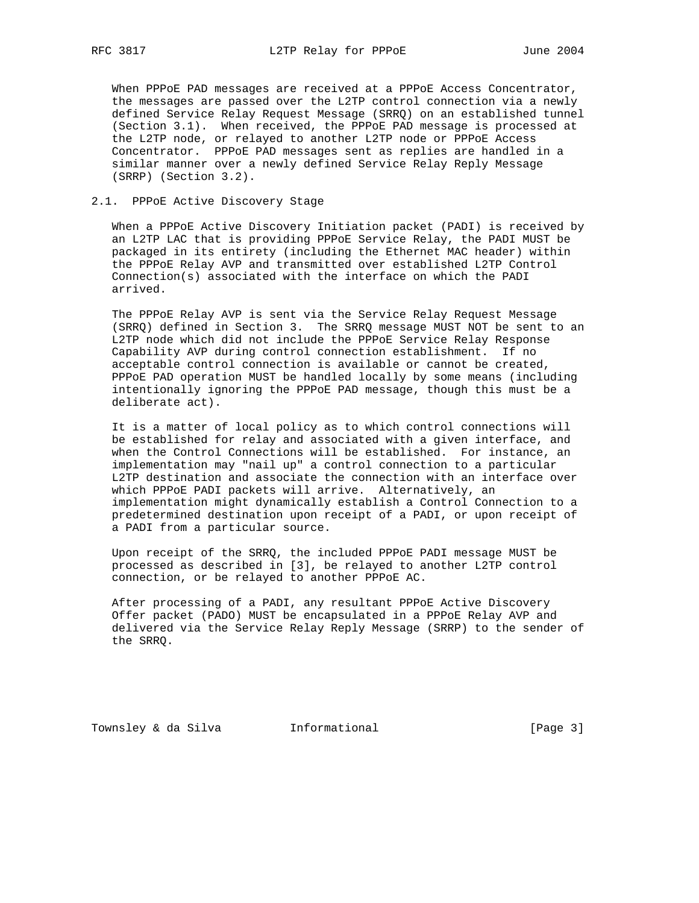When PPPoE PAD messages are received at a PPPoE Access Concentrator, the messages are passed over the L2TP control connection via a newly defined Service Relay Request Message (SRRQ) on an established tunnel (Section 3.1). When received, the PPPoE PAD message is processed at the L2TP node, or relayed to another L2TP node or PPPoE Access Concentrator. PPPoE PAD messages sent as replies are handled in a similar manner over a newly defined Service Relay Reply Message (SRRP) (Section 3.2).

## 2.1. PPPoE Active Discovery Stage

 When a PPPoE Active Discovery Initiation packet (PADI) is received by an L2TP LAC that is providing PPPoE Service Relay, the PADI MUST be packaged in its entirety (including the Ethernet MAC header) within the PPPoE Relay AVP and transmitted over established L2TP Control Connection(s) associated with the interface on which the PADI arrived.

 The PPPoE Relay AVP is sent via the Service Relay Request Message (SRRQ) defined in Section 3. The SRRQ message MUST NOT be sent to an L2TP node which did not include the PPPoE Service Relay Response Capability AVP during control connection establishment. If no acceptable control connection is available or cannot be created, PPPoE PAD operation MUST be handled locally by some means (including intentionally ignoring the PPPoE PAD message, though this must be a deliberate act).

 It is a matter of local policy as to which control connections will be established for relay and associated with a given interface, and when the Control Connections will be established. For instance, an implementation may "nail up" a control connection to a particular L2TP destination and associate the connection with an interface over which PPPoE PADI packets will arrive. Alternatively, an implementation might dynamically establish a Control Connection to a predetermined destination upon receipt of a PADI, or upon receipt of a PADI from a particular source.

 Upon receipt of the SRRQ, the included PPPoE PADI message MUST be processed as described in [3], be relayed to another L2TP control connection, or be relayed to another PPPoE AC.

 After processing of a PADI, any resultant PPPoE Active Discovery Offer packet (PADO) MUST be encapsulated in a PPPoE Relay AVP and delivered via the Service Relay Reply Message (SRRP) to the sender of the SRRQ.

Townsley & da Silva informational (Page 3)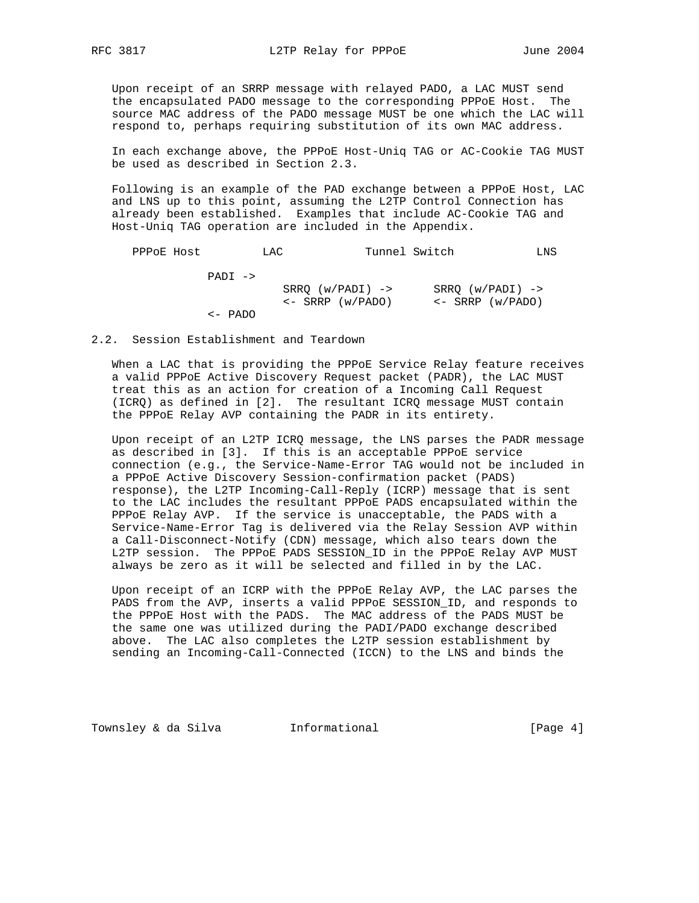Upon receipt of an SRRP message with relayed PADO, a LAC MUST send the encapsulated PADO message to the corresponding PPPoE Host. The source MAC address of the PADO message MUST be one which the LAC will respond to, perhaps requiring substitution of its own MAC address.

 In each exchange above, the PPPoE Host-Uniq TAG or AC-Cookie TAG MUST be used as described in Section 2.3.

 Following is an example of the PAD exchange between a PPPoE Host, LAC and LNS up to this point, assuming the L2TP Control Connection has already been established. Examples that include AC-Cookie TAG and Host-Uniq TAG operation are included in the Appendix.

| PPPOE Host |                   | LAC |                                              | Tunnel Switch |                                              | LNS |
|------------|-------------------|-----|----------------------------------------------|---------------|----------------------------------------------|-----|
|            | PADI ->           |     |                                              |               |                                              |     |
|            |                   |     | $SRRO (w/PADI)$ -><br>$\leq$ SRRP $(w/PADO)$ |               | $SRRO (w/PADI)$ -><br>$\leq$ SRRP $(w/PADO)$ |     |
|            | $\leftarrow$ PADO |     |                                              |               |                                              |     |

2.2. Session Establishment and Teardown

 When a LAC that is providing the PPPoE Service Relay feature receives a valid PPPoE Active Discovery Request packet (PADR), the LAC MUST treat this as an action for creation of a Incoming Call Request (ICRQ) as defined in [2]. The resultant ICRQ message MUST contain the PPPoE Relay AVP containing the PADR in its entirety.

 Upon receipt of an L2TP ICRQ message, the LNS parses the PADR message as described in [3]. If this is an acceptable PPPoE service connection (e.g., the Service-Name-Error TAG would not be included in a PPPoE Active Discovery Session-confirmation packet (PADS) response), the L2TP Incoming-Call-Reply (ICRP) message that is sent to the LAC includes the resultant PPPoE PADS encapsulated within the PPPoE Relay AVP. If the service is unacceptable, the PADS with a Service-Name-Error Tag is delivered via the Relay Session AVP within a Call-Disconnect-Notify (CDN) message, which also tears down the L2TP session. The PPPoE PADS SESSION\_ID in the PPPoE Relay AVP MUST always be zero as it will be selected and filled in by the LAC.

 Upon receipt of an ICRP with the PPPoE Relay AVP, the LAC parses the PADS from the AVP, inserts a valid PPPoE SESSION\_ID, and responds to the PPPoE Host with the PADS. The MAC address of the PADS MUST be the same one was utilized during the PADI/PADO exchange described above. The LAC also completes the L2TP session establishment by sending an Incoming-Call-Connected (ICCN) to the LNS and binds the

Townsley & da Silva 1nformational 100 (Page 4)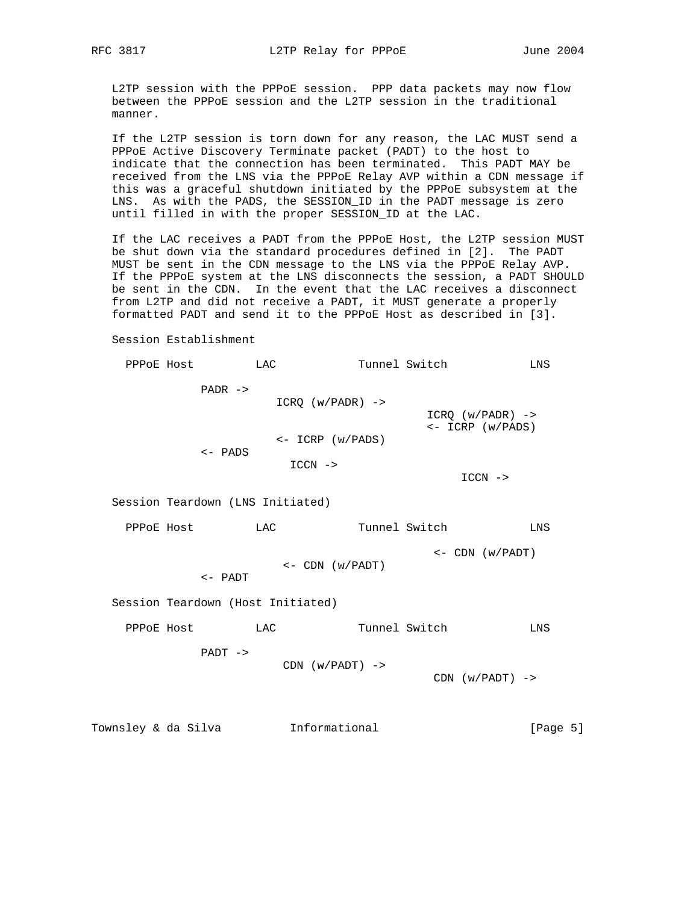L2TP session with the PPPoE session. PPP data packets may now flow between the PPPoE session and the L2TP session in the traditional manner.

 If the L2TP session is torn down for any reason, the LAC MUST send a PPPoE Active Discovery Terminate packet (PADT) to the host to indicate that the connection has been terminated. This PADT MAY be received from the LNS via the PPPoE Relay AVP within a CDN message if this was a graceful shutdown initiated by the PPPoE subsystem at the LNS. As with the PADS, the SESSION\_ID in the PADT message is zero until filled in with the proper SESSION\_ID at the LAC.

 If the LAC receives a PADT from the PPPoE Host, the L2TP session MUST be shut down via the standard procedures defined in [2]. The PADT MUST be sent in the CDN message to the LNS via the PPPoE Relay AVP. If the PPPoE system at the LNS disconnects the session, a PADT SHOULD be sent in the CDN. In the event that the LAC receives a disconnect from L2TP and did not receive a PADT, it MUST generate a properly formatted PADT and send it to the PPPoE Host as described in [3].

Session Establishment

PPPOE Host LAC Tunnel Switch LNS PADR -> ICRQ (w/PADR) ->  $ICRQ (w/PADR)$  -> <- ICRP (w/PADS) <- ICRP (w/PADS) <- PADS ICCN -> ICCN -> Session Teardown (LNS Initiated) PPPoE Host LAC Tunnel Switch LNS <- CDN (w/PADT) <- CDN (w/PADT) <- PADT Session Teardown (Host Initiated) PPPOE Host LAC Tunnel Switch LNS PADT ->  $CDN (w/PADT)$  ->  $CDN (w/PADT)$  ->

Townsley & da Silva **Informational** 100 (Page 5)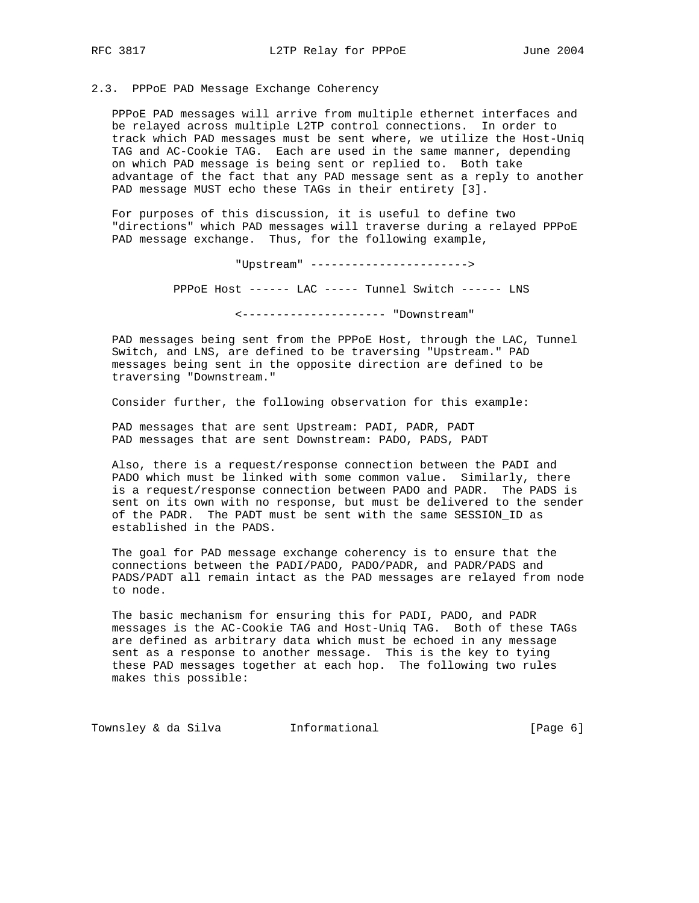# 2.3. PPPoE PAD Message Exchange Coherency

 PPPoE PAD messages will arrive from multiple ethernet interfaces and be relayed across multiple L2TP control connections. In order to track which PAD messages must be sent where, we utilize the Host-Uniq TAG and AC-Cookie TAG. Each are used in the same manner, depending on which PAD message is being sent or replied to. Both take advantage of the fact that any PAD message sent as a reply to another PAD message MUST echo these TAGs in their entirety [3].

 For purposes of this discussion, it is useful to define two "directions" which PAD messages will traverse during a relayed PPPoE PAD message exchange. Thus, for the following example,

"Upstream" ----------------------->

PPPoE Host ------ LAC ----- Tunnel Switch ------ LNS

<--------------------- "Downstream"

 PAD messages being sent from the PPPoE Host, through the LAC, Tunnel Switch, and LNS, are defined to be traversing "Upstream." PAD messages being sent in the opposite direction are defined to be traversing "Downstream."

Consider further, the following observation for this example:

 PAD messages that are sent Upstream: PADI, PADR, PADT PAD messages that are sent Downstream: PADO, PADS, PADT

 Also, there is a request/response connection between the PADI and PADO which must be linked with some common value. Similarly, there is a request/response connection between PADO and PADR. The PADS is sent on its own with no response, but must be delivered to the sender of the PADR. The PADT must be sent with the same SESSION\_ID as established in the PADS.

 The goal for PAD message exchange coherency is to ensure that the connections between the PADI/PADO, PADO/PADR, and PADR/PADS and PADS/PADT all remain intact as the PAD messages are relayed from node to node.

 The basic mechanism for ensuring this for PADI, PADO, and PADR messages is the AC-Cookie TAG and Host-Uniq TAG. Both of these TAGs are defined as arbitrary data which must be echoed in any message sent as a response to another message. This is the key to tying these PAD messages together at each hop. The following two rules makes this possible:

Townsley & da Silva **Informational** (Page 6)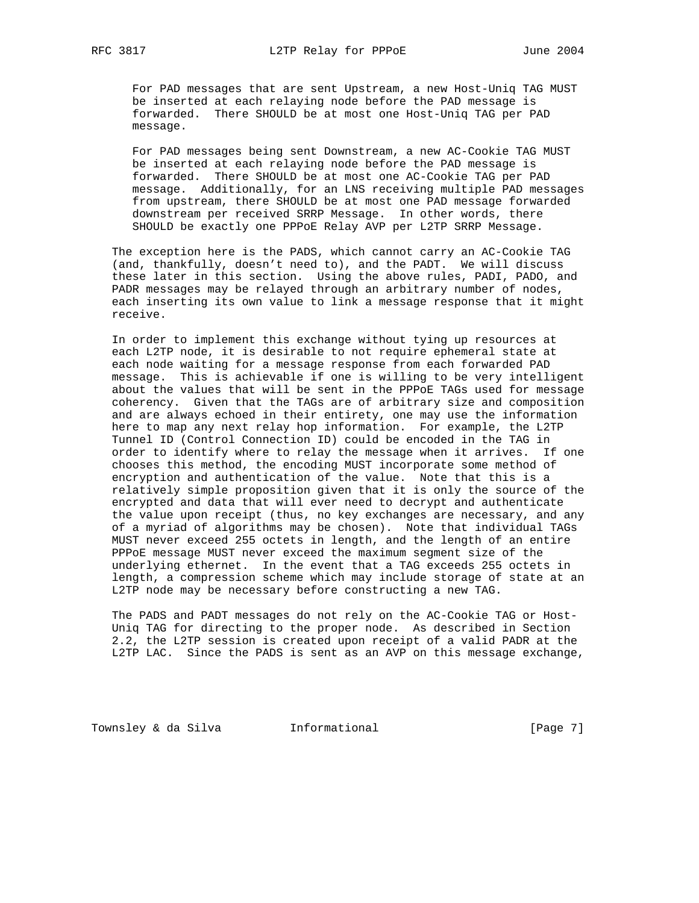For PAD messages that are sent Upstream, a new Host-Uniq TAG MUST be inserted at each relaying node before the PAD message is forwarded. There SHOULD be at most one Host-Uniq TAG per PAD message.

 For PAD messages being sent Downstream, a new AC-Cookie TAG MUST be inserted at each relaying node before the PAD message is forwarded. There SHOULD be at most one AC-Cookie TAG per PAD message. Additionally, for an LNS receiving multiple PAD messages from upstream, there SHOULD be at most one PAD message forwarded downstream per received SRRP Message. In other words, there SHOULD be exactly one PPPoE Relay AVP per L2TP SRRP Message.

 The exception here is the PADS, which cannot carry an AC-Cookie TAG (and, thankfully, doesn't need to), and the PADT. We will discuss these later in this section. Using the above rules, PADI, PADO, and PADR messages may be relayed through an arbitrary number of nodes, each inserting its own value to link a message response that it might receive.

 In order to implement this exchange without tying up resources at each L2TP node, it is desirable to not require ephemeral state at each node waiting for a message response from each forwarded PAD message. This is achievable if one is willing to be very intelligent about the values that will be sent in the PPPoE TAGs used for message coherency. Given that the TAGs are of arbitrary size and composition and are always echoed in their entirety, one may use the information here to map any next relay hop information. For example, the L2TP Tunnel ID (Control Connection ID) could be encoded in the TAG in order to identify where to relay the message when it arrives. If one chooses this method, the encoding MUST incorporate some method of encryption and authentication of the value. Note that this is a relatively simple proposition given that it is only the source of the encrypted and data that will ever need to decrypt and authenticate the value upon receipt (thus, no key exchanges are necessary, and any of a myriad of algorithms may be chosen). Note that individual TAGs MUST never exceed 255 octets in length, and the length of an entire PPPoE message MUST never exceed the maximum segment size of the underlying ethernet. In the event that a TAG exceeds 255 octets in length, a compression scheme which may include storage of state at an L2TP node may be necessary before constructing a new TAG.

 The PADS and PADT messages do not rely on the AC-Cookie TAG or Host- Uniq TAG for directing to the proper node. As described in Section 2.2, the L2TP session is created upon receipt of a valid PADR at the L2TP LAC. Since the PADS is sent as an AVP on this message exchange,

Townsley & da Silva **Informational** 100 (Page 7)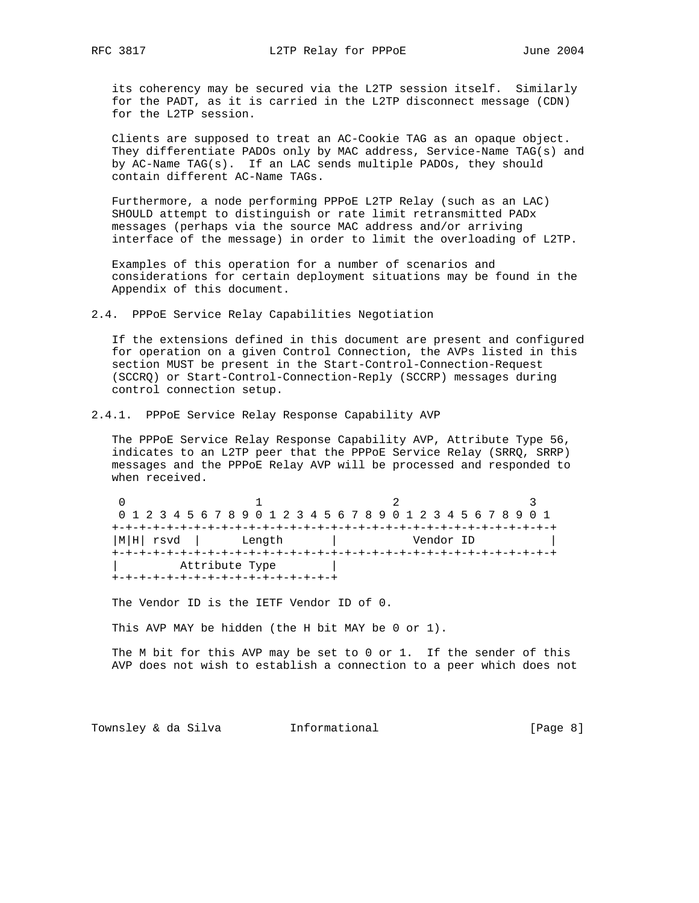its coherency may be secured via the L2TP session itself. Similarly for the PADT, as it is carried in the L2TP disconnect message (CDN) for the L2TP session.

 Clients are supposed to treat an AC-Cookie TAG as an opaque object. They differentiate PADOs only by MAC address, Service-Name TAG(s) and by AC-Name TAG(s). If an LAC sends multiple PADOs, they should contain different AC-Name TAGs.

 Furthermore, a node performing PPPoE L2TP Relay (such as an LAC) SHOULD attempt to distinguish or rate limit retransmitted PADx messages (perhaps via the source MAC address and/or arriving interface of the message) in order to limit the overloading of L2TP.

 Examples of this operation for a number of scenarios and considerations for certain deployment situations may be found in the Appendix of this document.

2.4. PPPoE Service Relay Capabilities Negotiation

 If the extensions defined in this document are present and configured for operation on a given Control Connection, the AVPs listed in this section MUST be present in the Start-Control-Connection-Request (SCCRQ) or Start-Control-Connection-Reply (SCCRP) messages during control connection setup.

2.4.1. PPPoE Service Relay Response Capability AVP

 The PPPoE Service Relay Response Capability AVP, Attribute Type 56, indicates to an L2TP peer that the PPPoE Service Relay (SRRQ, SRRP) messages and the PPPoE Relay AVP will be processed and responded to when received.

0  $1$  2 3 0 1 2 3 4 5 6 7 8 9 0 1 2 3 4 5 6 7 8 9 0 1 2 3 4 5 6 7 8 9 0 1 +-+-+-+-+-+-+-+-+-+-+-+-+-+-+-+-+-+-+-+-+-+-+-+-+-+-+-+-+-+-+-+-+  $|M|H|$  rsvd  $|$  Length  $|$  +-+-+-+-+-+-+-+-+-+-+-+-+-+-+-+-+-+-+-+-+-+-+-+-+-+-+-+-+-+-+-+-+ Attribute Type +-+-+-+-+-+-+-+-+-+-+-+-+-+-+-+-+

The Vendor ID is the IETF Vendor ID of 0.

This AVP MAY be hidden (the H bit MAY be 0 or 1).

 The M bit for this AVP may be set to 0 or 1. If the sender of this AVP does not wish to establish a connection to a peer which does not

Townsley & da Silva **Informational** 100 (Page 8)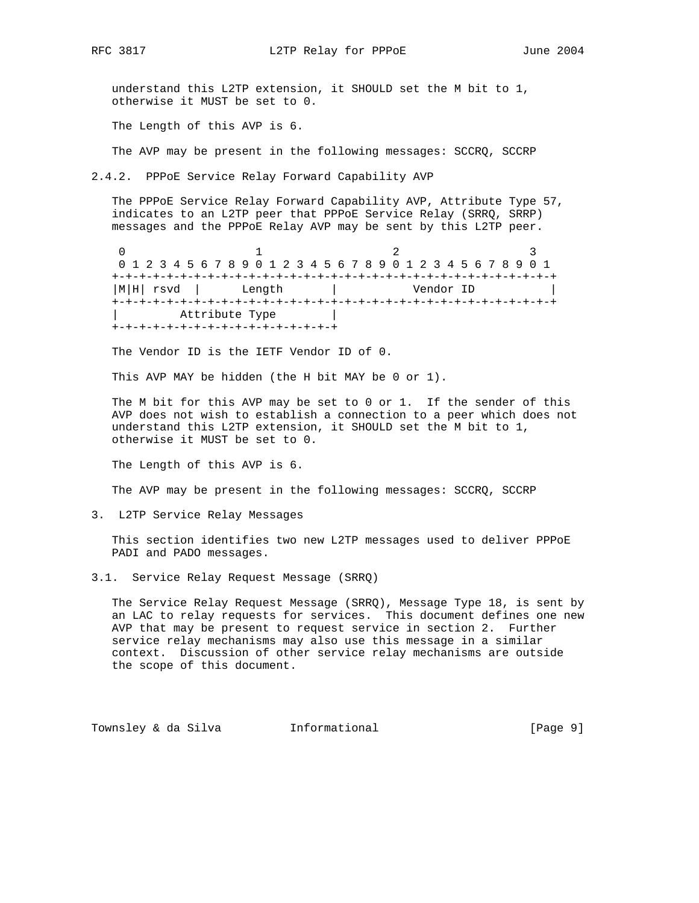understand this L2TP extension, it SHOULD set the M bit to 1, otherwise it MUST be set to 0.

The Length of this AVP is 6.

The AVP may be present in the following messages: SCCRQ, SCCRP

2.4.2. PPPoE Service Relay Forward Capability AVP

 The PPPoE Service Relay Forward Capability AVP, Attribute Type 57, indicates to an L2TP peer that PPPoE Service Relay (SRRQ, SRRP) messages and the PPPoE Relay AVP may be sent by this L2TP peer.

0  $1$  2 3 0 1 2 3 4 5 6 7 8 9 0 1 2 3 4 5 6 7 8 9 0 1 2 3 4 5 6 7 8 9 0 1 +-+-+-+-+-+-+-+-+-+-+-+-+-+-+-+-+-+-+-+-+-+-+-+-+-+-+-+-+-+-+-+-+ |M|H| rsvd | Length | +-+-+-+-+-+-+-+-+-+-+-+-+-+-+-+-+-+-+-+-+-+-+-+-+-+-+-+-+-+-+-+-+ | Attribute Type | +-+-+-+-+-+-+-+-+-+-+-+-+-+-+-+-+

The Vendor ID is the IETF Vendor ID of 0.

This AVP MAY be hidden (the H bit MAY be 0 or 1).

 The M bit for this AVP may be set to 0 or 1. If the sender of this AVP does not wish to establish a connection to a peer which does not understand this L2TP extension, it SHOULD set the M bit to 1, otherwise it MUST be set to 0.

The Length of this AVP is 6.

The AVP may be present in the following messages: SCCRQ, SCCRP

3. L2TP Service Relay Messages

 This section identifies two new L2TP messages used to deliver PPPoE PADI and PADO messages.

3.1. Service Relay Request Message (SRRQ)

 The Service Relay Request Message (SRRQ), Message Type 18, is sent by an LAC to relay requests for services. This document defines one new AVP that may be present to request service in section 2. Further service relay mechanisms may also use this message in a similar context. Discussion of other service relay mechanisms are outside the scope of this document.

Townsley & da Silva **Informational** (Page 9)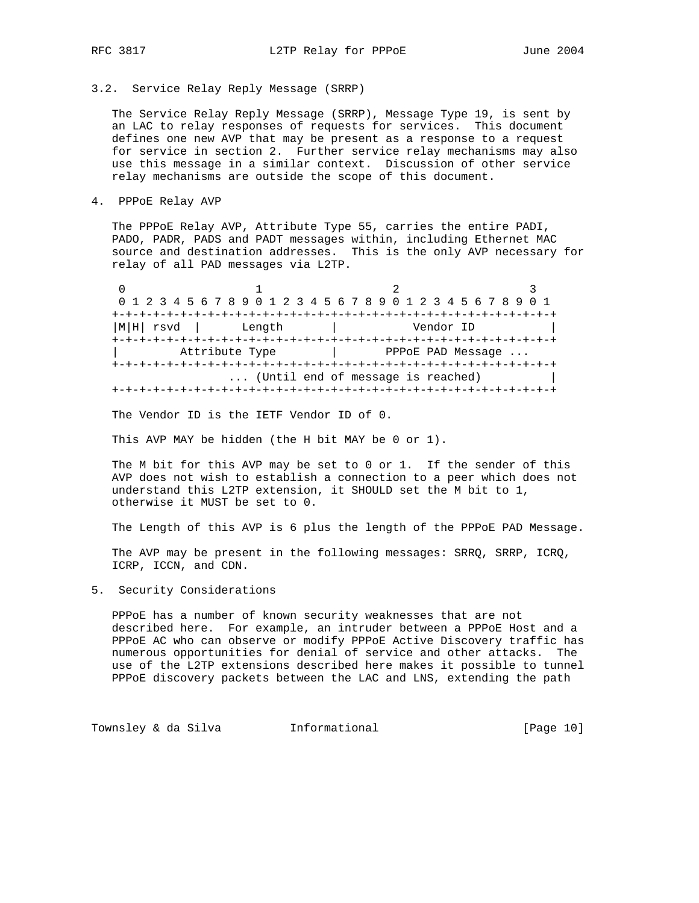# 3.2. Service Relay Reply Message (SRRP)

 The Service Relay Reply Message (SRRP), Message Type 19, is sent by an LAC to relay responses of requests for services. This document defines one new AVP that may be present as a response to a request for service in section 2. Further service relay mechanisms may also use this message in a similar context. Discussion of other service relay mechanisms are outside the scope of this document.

4. PPPoE Relay AVP

 The PPPoE Relay AVP, Attribute Type 55, carries the entire PADI, PADO, PADR, PADS and PADT messages within, including Ethernet MAC source and destination addresses. This is the only AVP necessary for relay of all PAD messages via L2TP.

0  $1$  2 3 0 1 2 3 4 5 6 7 8 9 0 1 2 3 4 5 6 7 8 9 0 1 2 3 4 5 6 7 8 9 0 1 +-+-+-+-+-+-+-+-+-+-+-+-+-+-+-+-+-+-+-+-+-+-+-+-+-+-+-+-+-+-+-+-+ |M|H| rsvd | Length | Vendor ID | +-+-+-+-+-+-+-+-+-+-+-+-+-+-+-+-+-+-+-+-+-+-+-+-+-+-+-+-+-+-+-+-+ | Attribute Type | PPPOE PAD Message ... +-+-+-+-+-+-+-+-+-+-+-+-+-+-+-+-+-+-+-+-+-+-+-+-+-+-+-+-+-+-+-+-+ ... (Until end of message is reached) +-+-+-+-+-+-+-+-+-+-+-+-+-+-+-+-+-+-+-+-+-+-+-+-+-+-+-+-+-+-+-+-+

The Vendor ID is the IETF Vendor ID of 0.

This AVP MAY be hidden (the H bit MAY be 0 or 1).

The M bit for this AVP may be set to 0 or 1. If the sender of this AVP does not wish to establish a connection to a peer which does not understand this L2TP extension, it SHOULD set the M bit to 1, otherwise it MUST be set to 0.

The Length of this AVP is 6 plus the length of the PPPoE PAD Message.

 The AVP may be present in the following messages: SRRQ, SRRP, ICRQ, ICRP, ICCN, and CDN.

5. Security Considerations

 PPPoE has a number of known security weaknesses that are not described here. For example, an intruder between a PPPoE Host and a PPPoE AC who can observe or modify PPPoE Active Discovery traffic has numerous opportunities for denial of service and other attacks. The use of the L2TP extensions described here makes it possible to tunnel PPPoE discovery packets between the LAC and LNS, extending the path

Townsley & da Silva 1nformational (Page 10)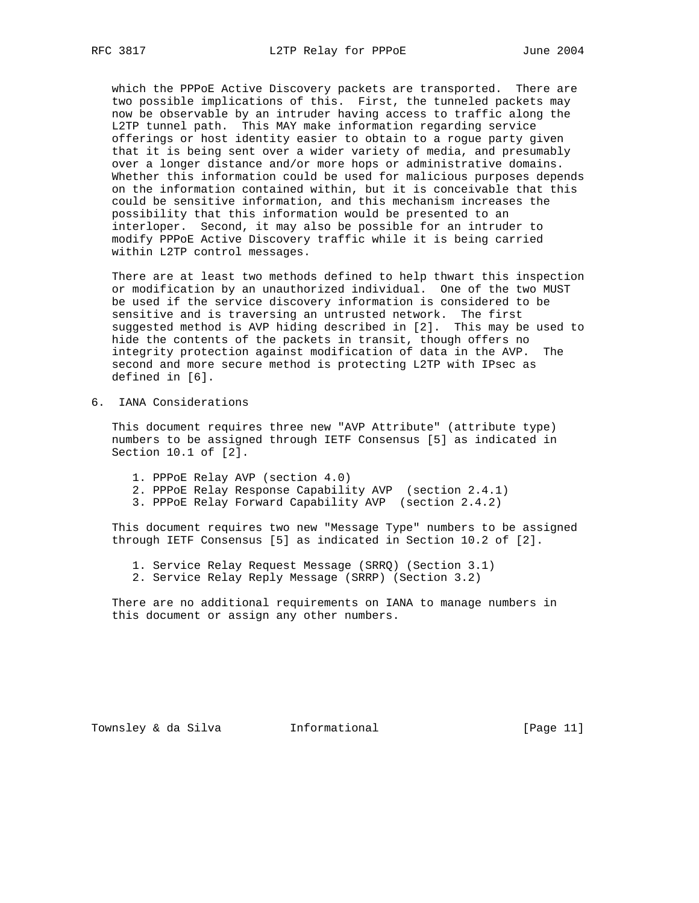which the PPPoE Active Discovery packets are transported. There are two possible implications of this. First, the tunneled packets may now be observable by an intruder having access to traffic along the L2TP tunnel path. This MAY make information regarding service offerings or host identity easier to obtain to a rogue party given that it is being sent over a wider variety of media, and presumably over a longer distance and/or more hops or administrative domains. Whether this information could be used for malicious purposes depends on the information contained within, but it is conceivable that this could be sensitive information, and this mechanism increases the possibility that this information would be presented to an interloper. Second, it may also be possible for an intruder to modify PPPoE Active Discovery traffic while it is being carried within L2TP control messages.

 There are at least two methods defined to help thwart this inspection or modification by an unauthorized individual. One of the two MUST be used if the service discovery information is considered to be sensitive and is traversing an untrusted network. The first suggested method is AVP hiding described in [2]. This may be used to hide the contents of the packets in transit, though offers no integrity protection against modification of data in the AVP. The second and more secure method is protecting L2TP with IPsec as defined in [6].

6. IANA Considerations

 This document requires three new "AVP Attribute" (attribute type) numbers to be assigned through IETF Consensus [5] as indicated in Section 10.1 of [2].

- 1. PPPoE Relay AVP (section 4.0)
- 2. PPPoE Relay Response Capability AVP (section 2.4.1)
- 3. PPPoE Relay Forward Capability AVP (section 2.4.2)

 This document requires two new "Message Type" numbers to be assigned through IETF Consensus [5] as indicated in Section 10.2 of [2].

- 1. Service Relay Request Message (SRRQ) (Section 3.1)
- 2. Service Relay Reply Message (SRRP) (Section 3.2)

 There are no additional requirements on IANA to manage numbers in this document or assign any other numbers.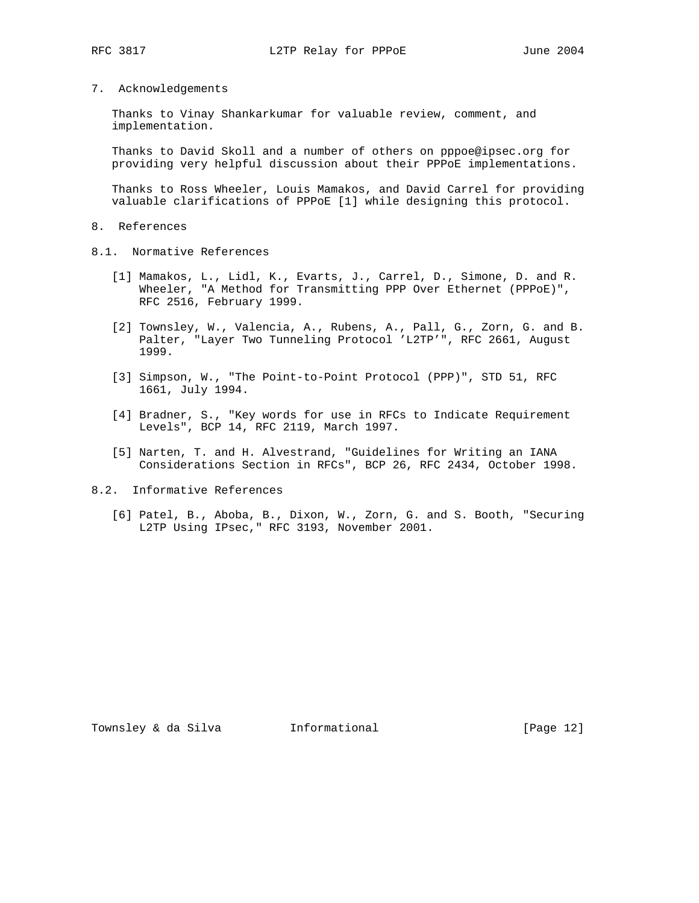7. Acknowledgements

 Thanks to Vinay Shankarkumar for valuable review, comment, and implementation.

 Thanks to David Skoll and a number of others on pppoe@ipsec.org for providing very helpful discussion about their PPPoE implementations.

 Thanks to Ross Wheeler, Louis Mamakos, and David Carrel for providing valuable clarifications of PPPoE [1] while designing this protocol.

- 8. References
- 8.1. Normative References
	- [1] Mamakos, L., Lidl, K., Evarts, J., Carrel, D., Simone, D. and R. Wheeler, "A Method for Transmitting PPP Over Ethernet (PPPoE)", RFC 2516, February 1999.
	- [2] Townsley, W., Valencia, A., Rubens, A., Pall, G., Zorn, G. and B. Palter, "Layer Two Tunneling Protocol 'L2TP'", RFC 2661, August 1999.
	- [3] Simpson, W., "The Point-to-Point Protocol (PPP)", STD 51, RFC 1661, July 1994.
	- [4] Bradner, S., "Key words for use in RFCs to Indicate Requirement Levels", BCP 14, RFC 2119, March 1997.
	- [5] Narten, T. and H. Alvestrand, "Guidelines for Writing an IANA Considerations Section in RFCs", BCP 26, RFC 2434, October 1998.
- 8.2. Informative References
	- [6] Patel, B., Aboba, B., Dixon, W., Zorn, G. and S. Booth, "Securing L2TP Using IPsec," RFC 3193, November 2001.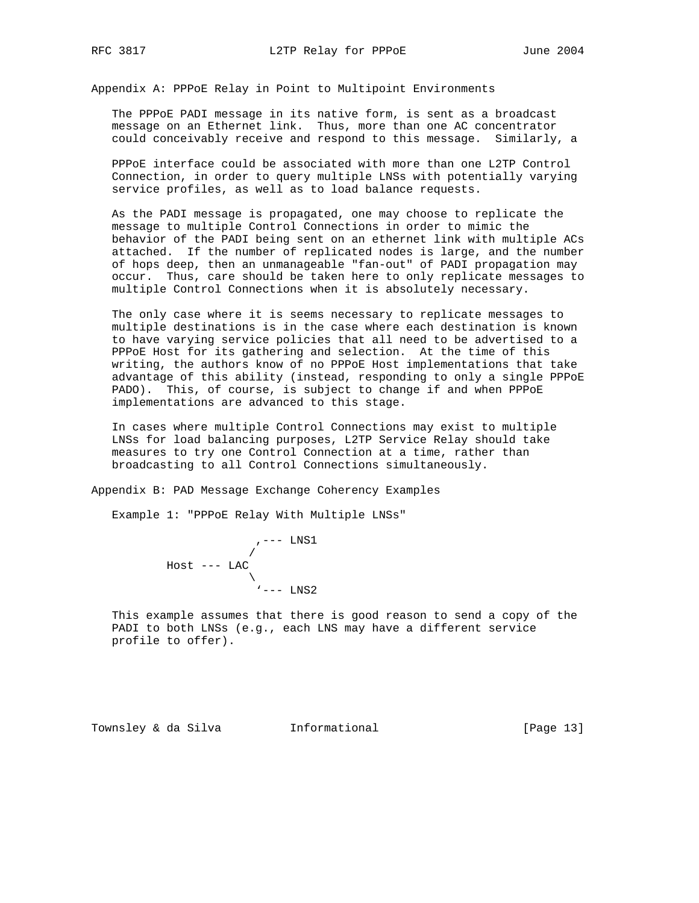Appendix A: PPPoE Relay in Point to Multipoint Environments

 The PPPoE PADI message in its native form, is sent as a broadcast message on an Ethernet link. Thus, more than one AC concentrator could conceivably receive and respond to this message. Similarly, a

 PPPoE interface could be associated with more than one L2TP Control Connection, in order to query multiple LNSs with potentially varying service profiles, as well as to load balance requests.

 As the PADI message is propagated, one may choose to replicate the message to multiple Control Connections in order to mimic the behavior of the PADI being sent on an ethernet link with multiple ACs attached. If the number of replicated nodes is large, and the number of hops deep, then an unmanageable "fan-out" of PADI propagation may occur. Thus, care should be taken here to only replicate messages to multiple Control Connections when it is absolutely necessary.

 The only case where it is seems necessary to replicate messages to multiple destinations is in the case where each destination is known to have varying service policies that all need to be advertised to a PPPoE Host for its gathering and selection. At the time of this writing, the authors know of no PPPoE Host implementations that take advantage of this ability (instead, responding to only a single PPPoE PADO). This, of course, is subject to change if and when PPPoE implementations are advanced to this stage.

 In cases where multiple Control Connections may exist to multiple LNSs for load balancing purposes, L2TP Service Relay should take measures to try one Control Connection at a time, rather than broadcasting to all Control Connections simultaneously.

Appendix B: PAD Message Exchange Coherency Examples

Example 1: "PPPoE Relay With Multiple LNSs"



 This example assumes that there is good reason to send a copy of the PADI to both LNSs (e.g., each LNS may have a different service profile to offer).

Townsley & da Silva 1nformational 100 [Page 13]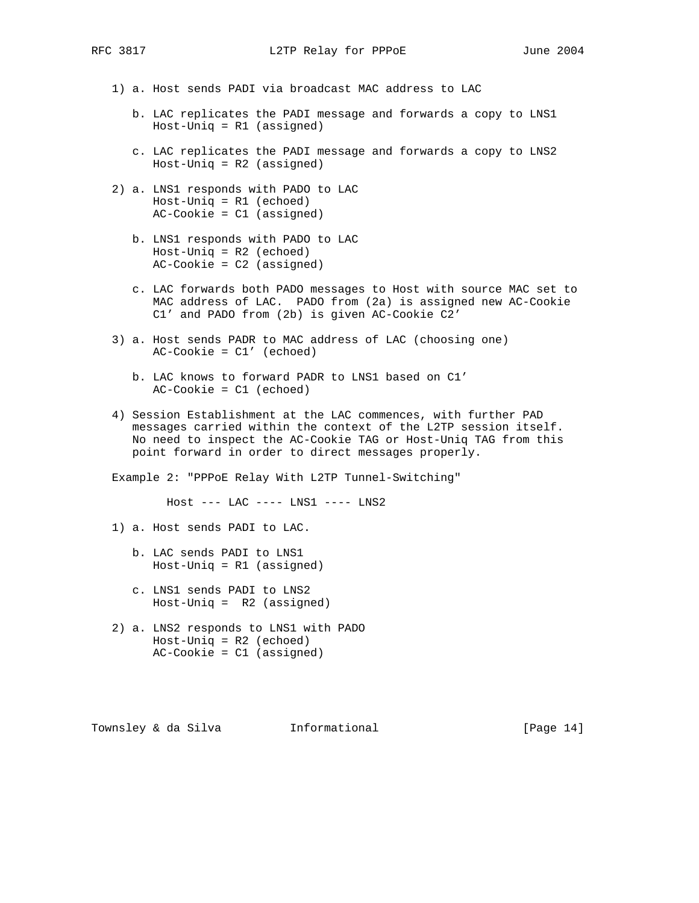- 1) a. Host sends PADI via broadcast MAC address to LAC
	- b. LAC replicates the PADI message and forwards a copy to LNS1 Host-Uniq = R1 (assigned)
	- c. LAC replicates the PADI message and forwards a copy to LNS2 Host-Uniq = R2 (assigned)
- 2) a. LNS1 responds with PADO to LAC Host-Uniq = R1 (echoed) AC-Cookie = C1 (assigned)
	- b. LNS1 responds with PADO to LAC Host-Uniq = R2 (echoed) AC-Cookie = C2 (assigned)
	- c. LAC forwards both PADO messages to Host with source MAC set to MAC address of LAC. PADO from (2a) is assigned new AC-Cookie C1' and PADO from (2b) is given AC-Cookie C2'
- 3) a. Host sends PADR to MAC address of LAC (choosing one) AC-Cookie = C1' (echoed)
	- b. LAC knows to forward PADR to LNS1 based on C1' AC-Cookie = C1 (echoed)
- 4) Session Establishment at the LAC commences, with further PAD messages carried within the context of the L2TP session itself. No need to inspect the AC-Cookie TAG or Host-Uniq TAG from this point forward in order to direct messages properly.

Example 2: "PPPoE Relay With L2TP Tunnel-Switching"

Host --- LAC ---- LNS1 ---- LNS2

1) a. Host sends PADI to LAC.

- b. LAC sends PADI to LNS1 Host-Uniq = R1 (assigned)
- c. LNS1 sends PADI to LNS2 Host-Uniq = R2 (assigned)
- 2) a. LNS2 responds to LNS1 with PADO Host-Uniq = R2 (echoed) AC-Cookie = C1 (assigned)

Townsley & da Silva informational [Page 14]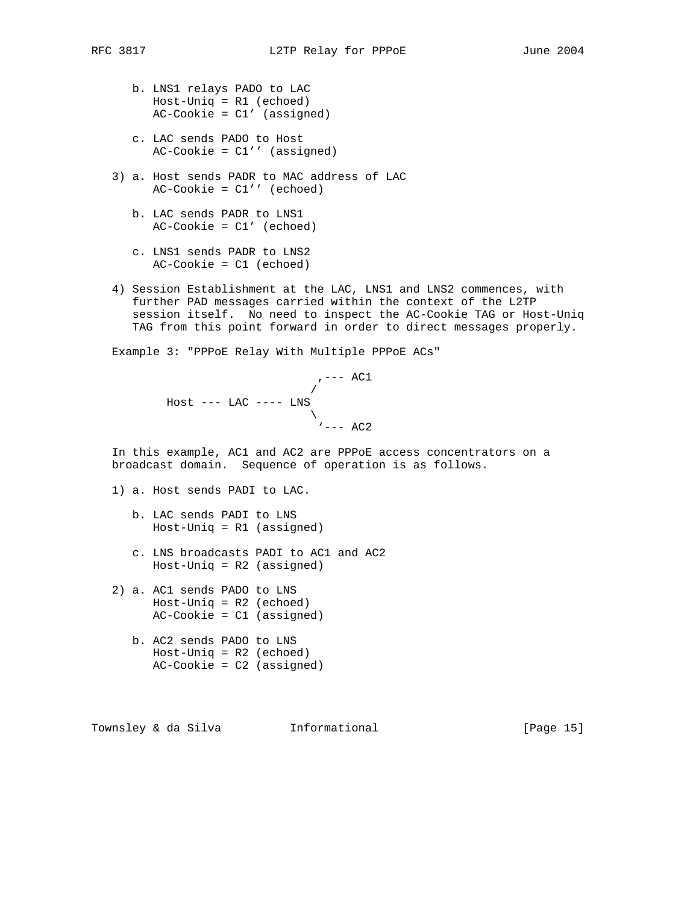- b. LNS1 relays PADO to LAC Host-Uniq = R1 (echoed)  $AC-Cookie = C1'$  (assigned)
- c. LAC sends PADO to Host  $AC-Cookie =  $Cl'$  (assigned)$
- 3) a. Host sends PADR to MAC address of LAC AC-Cookie = C1'' (echoed)
	- b. LAC sends PADR to LNS1 AC-Cookie = C1' (echoed)
	- c. LNS1 sends PADR to LNS2 AC-Cookie = C1 (echoed)
- 4) Session Establishment at the LAC, LNS1 and LNS2 commences, with further PAD messages carried within the context of the L2TP session itself. No need to inspect the AC-Cookie TAG or Host-Uniq TAG from this point forward in order to direct messages properly.

Example 3: "PPPoE Relay With Multiple PPPoE ACs"

$$
, --- AC1
$$
\n
$$
- - LAC --- LNS
$$
\n
$$
--- AC2
$$

 In this example, AC1 and AC2 are PPPoE access concentrators on a broadcast domain. Sequence of operation is as follows.

- 1) a. Host sends PADI to LAC.
	- b. LAC sends PADI to LNS Host-Uniq = R1 (assigned)
	- c. LNS broadcasts PADI to AC1 and AC2 Host-Uniq = R2 (assigned)
- 2) a. AC1 sends PADO to LNS Host-Uniq = R2 (echoed) AC-Cookie = C1 (assigned)
	- b. AC2 sends PADO to LNS Host-Uniq = R2 (echoed) AC-Cookie = C2 (assigned)

Townsley & da Silva Informational [Page 15]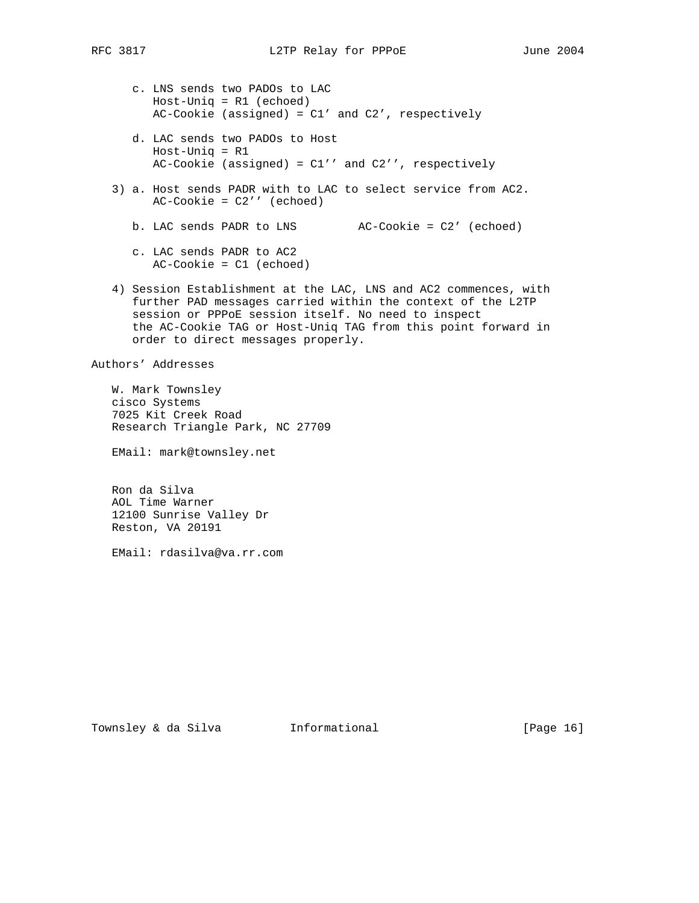- c. LNS sends two PADOs to LAC Host-Uniq = R1 (echoed)  $AC-Cookie$  (assigned) =  $C1'$  and  $C2'$ , respectively
- d. LAC sends two PADOs to Host Host-Uniq = R1 AC-Cookie (assigned) = C1'' and C2'', respectively
- 3) a. Host sends PADR with to LAC to select service from AC2. AC-Cookie = C2'' (echoed)
	- b. LAC sends PADR to LNS AC-Cookie = C2' (echoed)
	- c. LAC sends PADR to AC2 AC-Cookie = C1 (echoed)
- 4) Session Establishment at the LAC, LNS and AC2 commences, with further PAD messages carried within the context of the L2TP session or PPPoE session itself. No need to inspect the AC-Cookie TAG or Host-Uniq TAG from this point forward in order to direct messages properly.

Authors' Addresses

 W. Mark Townsley cisco Systems 7025 Kit Creek Road Research Triangle Park, NC 27709

EMail: mark@townsley.net

 Ron da Silva AOL Time Warner 12100 Sunrise Valley Dr Reston, VA 20191

EMail: rdasilva@va.rr.com